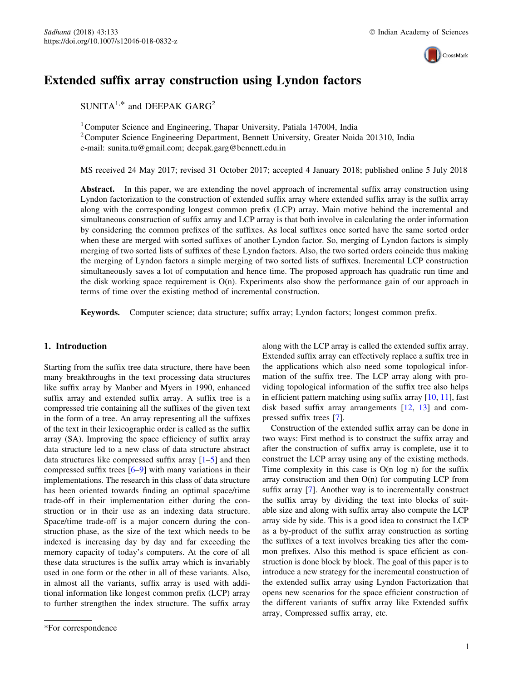

# Extended suffix array construction using Lyndon factors

 $SUNITA^{1,*}$  and DEEPAK GARG<sup>2</sup>

<sup>1</sup> Computer Science and Engineering, Thapar University, Patiala 147004, India <sup>2</sup> Computer Science Engineering Department, Bennett University, Greater Noida 201310, India e-mail: sunita.tu@gmail.com; deepak.garg@bennett.edu.in

MS received 24 May 2017; revised 31 October 2017; accepted 4 January 2018; published online 5 July 2018

Abstract. In this paper, we are extending the novel approach of incremental suffix array construction using Lyndon factorization to the construction of extended suffix array where extended suffix array is the suffix array along with the corresponding longest common prefix (LCP) array. Main motive behind the incremental and simultaneous construction of suffix array and LCP array is that both involve in calculating the order information by considering the common prefixes of the suffixes. As local suffixes once sorted have the same sorted order when these are merged with sorted suffixes of another Lyndon factor. So, merging of Lyndon factors is simply merging of two sorted lists of suffixes of these Lyndon factors. Also, the two sorted orders coincide thus making the merging of Lyndon factors a simple merging of two sorted lists of suffixes. Incremental LCP construction simultaneously saves a lot of computation and hence time. The proposed approach has quadratic run time and the disk working space requirement is  $O(n)$ . Experiments also show the performance gain of our approach in terms of time over the existing method of incremental construction.

Keywords. Computer science; data structure; suffix array; Lyndon factors; longest common prefix.

## 1. Introduction

Starting from the suffix tree data structure, there have been many breakthroughs in the text processing data structures like suffix array by Manber and Myers in 1990, enhanced suffix array and extended suffix array. A suffix tree is a compressed trie containing all the suffixes of the given text in the form of a tree. An array representing all the suffixes of the text in their lexicographic order is called as the suffix array (SA). Improving the space efficiency of suffix array data structure led to a new class of data structure abstract data structures like compressed suffix array  $[1-5]$  and then compressed suffix trees [[6–9\]](#page-7-0) with many variations in their implementations. The research in this class of data structure has been oriented towards finding an optimal space/time trade-off in their implementation either during the construction or in their use as an indexing data structure. Space/time trade-off is a major concern during the construction phase, as the size of the text which needs to be indexed is increasing day by day and far exceeding the memory capacity of today's computers. At the core of all these data structures is the suffix array which is invariably used in one form or the other in all of these variants. Also, in almost all the variants, suffix array is used with additional information like longest common prefix (LCP) array to further strengthen the index structure. The suffix array along with the LCP array is called the extended suffix array. Extended suffix array can effectively replace a suffix tree in the applications which also need some topological information of the suffix tree. The LCP array along with providing topological information of the suffix tree also helps in efficient pattern matching using suffix array [\[10](#page-7-0), [11](#page-7-0)], fast disk based suffix array arrangements [[12,](#page-7-0) [13](#page-7-0)] and compressed suffix trees [[7\]](#page-7-0).

Construction of the extended suffix array can be done in two ways: First method is to construct the suffix array and after the construction of suffix array is complete, use it to construct the LCP array using any of the existing methods. Time complexity in this case is  $O(n \log n)$  for the suffix array construction and then  $O(n)$  for computing LCP from suffix array [[7\]](#page-7-0). Another way is to incrementally construct the suffix array by dividing the text into blocks of suitable size and along with suffix array also compute the LCP array side by side. This is a good idea to construct the LCP as a by-product of the suffix array construction as sorting the suffixes of a text involves breaking ties after the common prefixes. Also this method is space efficient as construction is done block by block. The goal of this paper is to introduce a new strategy for the incremental construction of the extended suffix array using Lyndon Factorization that opens new scenarios for the space efficient construction of the different variants of suffix array like Extended suffix array, Compressed suffix array, etc.

<sup>\*</sup>For correspondence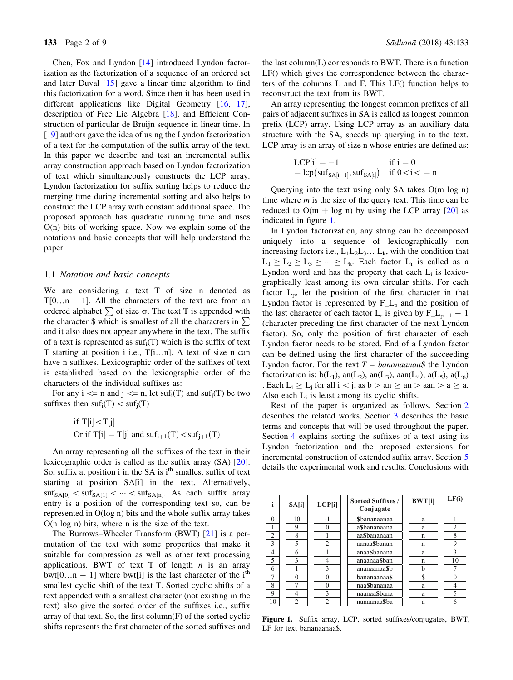Chen, Fox and Lyndon [[14\]](#page-7-0) introduced Lyndon factorization as the factorization of a sequence of an ordered set and later Duval  $[15]$  $[15]$  $[15]$  gave a linear time algorithm to find this factorization for a word. Since then it has been used in different applications like Digital Geometry [\[16](#page-7-0), [17\]](#page-7-0), description of Free Lie Algebra [[18\]](#page-7-0), and Efficient Construction of particular de Bruijn sequence in linear time. In [\[19](#page-7-0)] authors gave the idea of using the Lyndon factorization of a text for the computation of the suffix array of the text. In this paper we describe and test an incremental suffix array construction approach based on Lyndon factorization of text which simultaneously constructs the LCP array. Lyndon factorization for suffix sorting helps to reduce the merging time during incremental sorting and also helps to construct the LCP array with constant additional space. The proposed approach has quadratic running time and uses O(n) bits of working space. Now we explain some of the notations and basic concepts that will help understand the paper.

#### 1.1 Notation and basic concepts

We are considering a text T of size n denoted as  $T[0...n - 1]$ . All the characters of the text are from an ordered alphabet  $\sum$  of size  $\sigma$ . The text T is appended with the character \$ which is smallest of all the characters in  $\Sigma$ and it also does not appear anywhere in the text. The suffix of a text is represented as  $\text{suf}_{i}(T)$  which is the suffix of text T starting at position i i.e., T[i…n]. A text of size n can have n suffixes. Lexicographic order of the suffixes of text is established based on the lexicographic order of the characters of the individual suffixes as:

For any  $i \le n$  and  $j \le n$ , let suf<sub>i</sub>(T) and suf<sub>i</sub>(T) be two suffixes then  $\text{suf}_i(T) < \text{suf}_i(T)$ 

if 
$$
T[i] < T[j]
$$
  
Or if  $T[i] = T[j]$  and  $suf_{i+1}(T) < suf_{j+1}(T)$ 

An array representing all the suffixes of the text in their lexicographic order is called as the suffix array (SA) [[20\]](#page-7-0). So, suffix at position i in the SA is  $i<sup>th</sup>$  smallest suffix of text starting at position SA[i] in the text. Alternatively,  $\text{suf}_{\text{SATION}} < \text{suf}_{\text{SATH}} < \cdots < \text{suf}_{\text{SArl}}$ . As each suffix array entry is a position of the corresponding text so, can be represented in O(log n) bits and the whole suffix array takes O(n log n) bits, where n is the size of the text.

The Burrows–Wheeler Transform (BWT) [[21\]](#page-7-0) is a permutation of the text with some properties that make it suitable for compression as well as other text processing applications. BWT of text T of length  $n$  is an array bwt[0...n - 1] where bwt[i] is the last character of the i<sup>th</sup> smallest cyclic shift of the text T. Sorted cyclic shifts of a text appended with a smallest character (not existing in the text) also give the sorted order of the suffixes i.e., suffix array of that text. So, the first column(F) of the sorted cyclic shifts represents the first character of the sorted suffixes and

the last column(L) corresponds to BWT. There is a function LF() which gives the correspondence between the characters of the columns L and F. This LF() function helps to reconstruct the text from its BWT.

An array representing the longest common prefixes of all pairs of adjacent suffixes in SA is called as longest common prefix (LCP) array. Using LCP array as an auxiliary data structure with the SA, speeds up querying in to the text. LCP array is an array of size n whose entries are defined as:

$$
LCP[i] = -1 \quad \text{if } i = 0
$$
  
=  $lcp\left(\text{suf}_{SA[i-1]}, \text{suf}_{SA[i]}\right) \quad \text{if } 0 < i < n$ 

Querying into the text using only SA takes O(m log n) time where  $m$  is the size of the query text. This time can be reduced to  $O(m + log n)$  by using the LCP array [[20\]](#page-7-0) as indicated in figure 1.

In Lyndon factorization, any string can be decomposed uniquely into a sequence of lexicographically non increasing factors i.e.,  $L_1L_2L_3...$   $L_k$ , with the condition that  $L_1 \ge L_2 \ge L_3 \ge \cdots \ge L_k$ . Each factor  $L_i$  is called as a Lyndon word and has the property that each  $L_i$  is lexicographically least among its own circular shifts. For each factor Lp, let the position of the first character in that Lyndon factor is represented by  $F<sub>-</sub>L<sub>p</sub>$  and the position of the last character of each factor  $L_r$  is given by  $F_L L_{p+1} - 1$ (character preceding the first character of the next Lyndon factor). So, only the position of first character of each Lyndon factor needs to be stored. End of a Lyndon factor can be defined using the first character of the succeeding Lyndon factor. For the text  $T = bananaana\$  the Lyndon factorization is:  $b(L_1)$ , an $(L_2)$ , an $(L_3)$ , aan $(L_4)$ , a $(L_5)$ , a $(L_6)$ . Each  $L_i > L_i$  for all  $i < j$ , as  $b > an > an > aan > a > a$ . Also each  $L_i$  is least among its cyclic shifts.

Rest of the paper is organized as follows. Section [2](#page-2-0) describes the related works. Section [3](#page-2-0) describes the basic terms and concepts that will be used throughout the paper. Section [4](#page-3-0) explains sorting the suffixes of a text using its Lyndon factorization and the proposed extensions for incremental construction of extended suffix array. Section [5](#page-5-0) details the experimental work and results. Conclusions with

| i              | SA[i]        | LCP[i]         | <b>Sorted Suffixes /</b><br>Conjugate | <b>BWT[i]</b> | LF(i)          |
|----------------|--------------|----------------|---------------------------------------|---------------|----------------|
| $\theta$       | 10           | -1             | Sbananaanaa                           | a             |                |
|                | 9            |                | a\$bananaana                          | a             | $\overline{2}$ |
| $\overline{c}$ | $\mathbf{8}$ |                | aa\$bananaan                          | n             | 8              |
| 3              | 5            | $\overline{2}$ | aanaa\$banan                          | n             | 9              |
| 4              | 6            |                | anaa\$banana                          | a             | 3              |
| 5              | 3            |                | anaanaa\$ban                          | n             | 10             |
| 6              |              | $\mathbf{3}$   | ananaanaa\$b                          | b             |                |
|                |              |                | bananaanaa\$                          | \$            | 0              |
| 8              |              |                | naa\$bananaa                          | a             | 4              |
| 9              |              | 3              | naanaa\$bana                          | a             | 5              |
| 10             |              |                | nanaanaa\$ba                          | a             |                |

Figure 1. Suffix array, LCP, sorted suffixes/conjugates, BWT, LF for text bananaanaa\$.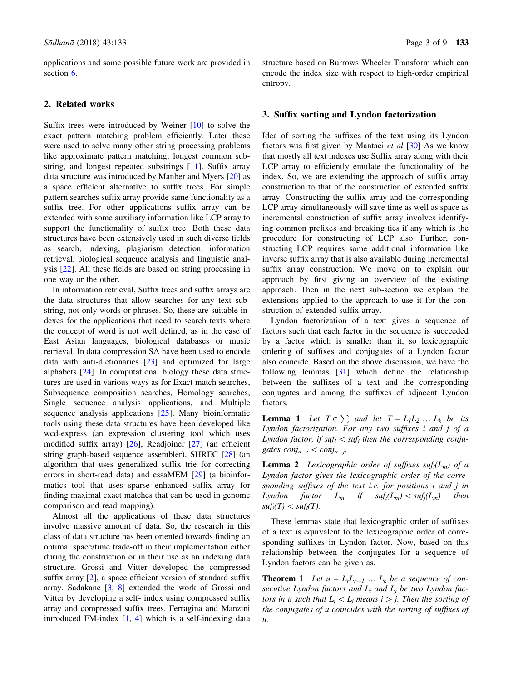<span id="page-2-0"></span>applications and some possible future work are provided in section [6.](#page-6-0)

## 2. Related works

Suffix trees were introduced by Weiner [[10\]](#page-7-0) to solve the exact pattern matching problem efficiently. Later these were used to solve many other string processing problems like approximate pattern matching, longest common substring, and longest repeated substrings [[11\]](#page-7-0). Suffix array data structure was introduced by Manber and Myers [\[20](#page-7-0)] as a space efficient alternative to suffix trees. For simple pattern searches suffix array provide same functionality as a suffix tree. For other applications suffix array can be extended with some auxiliary information like LCP array to support the functionality of suffix tree. Both these data structures have been extensively used in such diverse fields as search, indexing, plagiarism detection, information retrieval, biological sequence analysis and linguistic analysis [[22\]](#page-7-0). All these fields are based on string processing in one way or the other.

In information retrieval, Suffix trees and suffix arrays are the data structures that allow searches for any text substring, not only words or phrases. So, these are suitable indexes for the applications that need to search texts where the concept of word is not well defined, as in the case of East Asian languages, biological databases or music retrieval. In data compression SA have been used to encode data with anti-dictionaries [[23\]](#page-7-0) and optimized for large alphabets [[24\]](#page-7-0). In computational biology these data structures are used in various ways as for Exact match searches, Subsequence composition searches, Homology searches, Single sequence analysis applications, and Multiple sequence analysis applications [[25\]](#page-7-0). Many bioinformatic tools using these data structures have been developed like wcd-express (an expression clustering tool which uses modified suffix array) [\[26](#page-7-0)], Readjoiner [\[27](#page-8-0)] (an efficient string graph-based sequence assembler), SHREC [[28](#page-8-0)] (an algorithm that uses generalized suffix trie for correcting errors in short-read data) and essaMEM [[29\]](#page-8-0) (a bioinformatics tool that uses sparse enhanced suffix array for finding maximal exact matches that can be used in genome comparison and read mapping).

Almost all the applications of these data structures involve massive amount of data. So, the research in this class of data structure has been oriented towards finding an optimal space/time trade-off in their implementation either during the construction or in their use as an indexing data structure. Grossi and Vitter developed the compressed suffix array [[2\]](#page-7-0), a space efficient version of standard suffix array. Sadakane [[3,](#page-7-0) [8](#page-7-0)] extended the work of Grossi and Vitter by developing a self- index using compressed suffix array and compressed suffix trees. Ferragina and Manzini introduced FM-index  $[1, 4]$  $[1, 4]$  $[1, 4]$  which is a self-indexing data

structure based on Burrows Wheeler Transform which can encode the index size with respect to high-order empirical entropy.

### 3. Suffix sorting and Lyndon factorization

Idea of sorting the suffixes of the text using its Lyndon factors was first given by Mantaci *et al*  $[30]$  $[30]$  As we know that mostly all text indexes use Suffix array along with their LCP array to efficiently emulate the functionality of the index. So, we are extending the approach of suffix array construction to that of the construction of extended suffix array. Constructing the suffix array and the corresponding LCP array simultaneously will save time as well as space as incremental construction of suffix array involves identifying common prefixes and breaking ties if any which is the procedure for constructing of LCP also. Further, constructing LCP requires some additional information like inverse suffix array that is also available during incremental suffix array construction. We move on to explain our approach by first giving an overview of the existing approach. Then in the next sub-section we explain the extensions applied to the approach to use it for the construction of extended suffix array.

Lyndon factorization of a text gives a sequence of factors such that each factor in the sequence is succeeded by a factor which is smaller than it, so lexicographic ordering of suffixes and conjugates of a Lyndon factor also coincide. Based on the above discussion, we have the following lemmas [[31\]](#page-8-0) which define the relationship between the suffixes of a text and the corresponding conjugates and among the suffixes of adjacent Lyndon factors.

**Lemma 1** Let  $T \in \sum$  and let  $T = L_1L_2 ... L_k$  be its Lyndon factorization. For any two suffixes i and j of a Lyndon factor, if suf $_i$  < suf<sub>i</sub> then the corresponding conjugates  $conj_{n-i} < conj_{n-j}.$ 

**Lemma 2** Lexicographic order of suffixes suf<sub>i</sub>( $L_m$ ) of a Lyndon factor gives the lexicographic order of the corresponding suffixes of the text i.e, for positions i and j in Lyndon factor  $L_m$  if  $\text{suf}_i(L_m) < \text{suf}_i(L_m)$  then  $\mathit{suf}_i(T) < \mathit{suf}_i(T)$ .

These lemmas state that lexicographic order of suffixes of a text is equivalent to the lexicographic order of corresponding suffixes in Lyndon factor. Now, based on this relationship between the conjugates for a sequence of Lyndon factors can be given as.

**Theorem 1** Let  $u = L<sub>r</sub>L<sub>r+1</sub> ... L<sub>k</sub>$  be a sequence of consecutive Lyndon factors and  $L_i$  and  $L_j$  be two Lyndon factors in u such that  $L_i \langle L_i \rangle$  means  $i \rangle j$ . Then the sorting of the conjugates of u coincides with the sorting of suffixes of  $\mathfrak{u}.$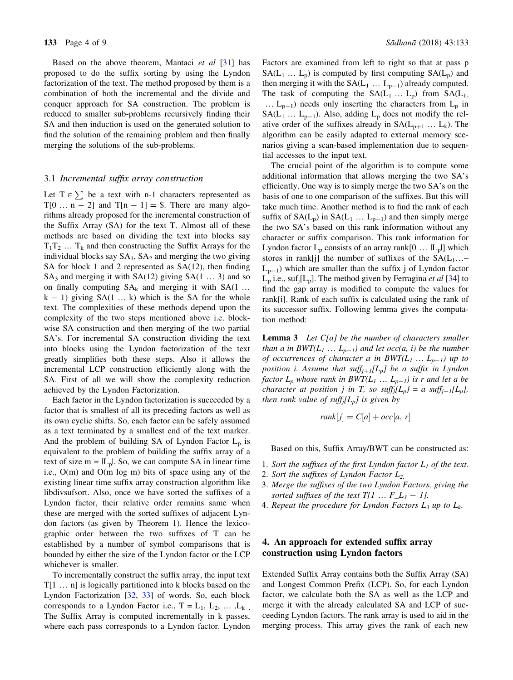<span id="page-3-0"></span>Based on the above theorem, Mantaci *et al* [[31\]](#page-8-0) has proposed to do the suffix sorting by using the Lyndon factorization of the text. The method proposed by them is a combination of both the incremental and the divide and conquer approach for SA construction. The problem is reduced to smaller sub-problems recursively finding their SA and then induction is used on the generated solution to find the solution of the remaining problem and then finally merging the solutions of the sub-problems.

#### 3.1 Incremental suffix array construction

Let  $T \in \sum$  be a text with n-1 characters represented as  $T[0 \dots n-2]$  and  $T[n-1] =$  \$. There are many algorithms already proposed for the incremental construction of the Suffix Array (SA) for the text T. Almost all of these methods are based on dividing the text into blocks say  $T_1T_2$  ...  $T_k$  and then constructing the Suffix Arrays for the individual blocks say  $SA<sub>1</sub>$ ,  $SA<sub>2</sub>$  and merging the two giving SA for block 1 and 2 represented as SA(12), then finding  $SA<sub>3</sub>$  and merging it with  $SA(12)$  giving  $SA(1 \ldots 3)$  and so on finally computing  $SA_k$  and merging it with  $SA(1)$ ...  $k - 1$ ) giving SA(1 ... k) which is the SA for the whole text. The complexities of these methods depend upon the complexity of the two steps mentioned above i.e. blockwise SA construction and then merging of the two partial SA's. For incremental SA construction dividing the text into blocks using the Lyndon factorization of the text greatly simplifies both these steps. Also it allows the incremental LCP construction efficiently along with the SA. First of all we will show the complexity reduction achieved by the Lyndon Factorization.

Each factor in the Lyndon factorization is succeeded by a factor that is smallest of all its preceding factors as well as its own cyclic shifts. So, each factor can be safely assumed as a text terminated by a smallest end of the text marker. And the problem of building SA of Lyndon Factor  $L_p$  is equivalent to the problem of building the suffix array of a text of size  $m = |L_p|$ . So, we can compute SA in linear time i.e., O(m) and O(m log m) bits of space using any of the existing linear time suffix array construction algorithm like libdivsufsort. Also, once we have sorted the suffixes of a Lyndon factor, their relative order remains same when these are merged with the sorted suffixes of adjacent Lyndon factors (as given by Theorem 1). Hence the lexicographic order between the two suffixes of T can be established by a number of symbol comparisons that is bounded by either the size of the Lyndon factor or the LCP whichever is smaller.

To incrementally construct the suffix array, the input text T[1 … n] is logically partitioned into k blocks based on the Lyndon Factorization [[32,](#page-8-0) [33\]](#page-8-0) of words. So, each block corresponds to a Lyndon Factor i.e.,  $T = L_1, L_2, \ldots, L_k$ . The Suffix Array is computed incrementally in k passes, where each pass corresponds to a Lyndon factor. Lyndon

Factors are examined from left to right so that at pass p  $SA(L_1 ... L_p)$  is computed by first computing  $SA(L_p)$  and then merging it with the  $SA(L_1 ... L_{p-1})$  already computed. The task of computing the  $SA(L_1 ... L_p)$  from  $SA(L_1$ .  $\ldots$  L<sub>p-1</sub>) needs only inserting the characters from L<sub>p</sub> in  $SA(L_1 ... L_{p-1})$ . Also, adding  $L_p$  does not modify the relative order of the suffixes already in  $SA(L_{p+1} \dots L_k)$ . The algorithm can be easily adapted to external memory scenarios giving a scan-based implementation due to sequential accesses to the input text.

The crucial point of the algorithm is to compute some additional information that allows merging the two SA's efficiently. One way is to simply merge the two SA's on the basis of one to one comparison of the suffixes. But this will take much time. Another method is to find the rank of each suffix of  $SA(L_p)$  in  $SA(L_1 ... L_{p-1})$  and then simply merge the two SA's based on this rank information without any character or suffix comparison. This rank information for Lyndon factor  $L_p$  consists of an array rank[0 ...  $|L_p|$ ] which stores in rank[j] the number of suffixes of the  $SA(L_1... L_{p-1}$ ) which are smaller than the suffix j of Lyndon factor  $L_p$  i.e., suf<sub>i</sub>[ $L_p$ ]. The method given by Ferragina *et al* [[34\]](#page-8-0) to find the gap array is modified to compute the values for rank[i]. Rank of each suffix is calculated using the rank of its successor suffix. Following lemma gives the computation method:

Lemma 3 Let C[a] be the number of characters smaller than a in  $BWT(L_1 ... L_{p-1})$  and let occ(a, i) be the number of occurrences of character a in  $BWT(L_1 ... L_{p-1})$  up to position i. Assume that suff $f_{j+1}[L_p]$  be a suffix in Lyndon factor  $L_p$  whose rank in BWT( $L_1$  ...  $L_{p-1}$ ) is r and let a be character at position j in T, so suffj[ $L_p$ ] = a suffj<sub>+1</sub>[ $L_p$ ], then rank value of suff $_i[L_p]$  is given by

$$
rank[j] = C[a] + occ[a, r]
$$

Based on this, Suffix Array/BWT can be constructed as:

- 1. Sort the suffixes of the first Lyndon factor  $L_1$  of the text.
- 2. Sort the suffixes of Lyndon Factor  $L_2$ .
- 3. Merge the suffixes of the two Lyndon Factors, giving the sorted suffixes of the text  $T[1 \dots F_L_3 - 1]$ .
- 4. Repeat the procedure for Lyndon Factors  $L_3$  up to  $L_k$ .

## 4. An approach for extended suffix array construction using Lyndon factors

Extended Suffix Array contains both the Suffix Array (SA) and Longest Common Prefix (LCP). So, for each Lyndon factor, we calculate both the SA as well as the LCP and merge it with the already calculated SA and LCP of succeeding Lyndon factors. The rank array is used to aid in the merging process. This array gives the rank of each new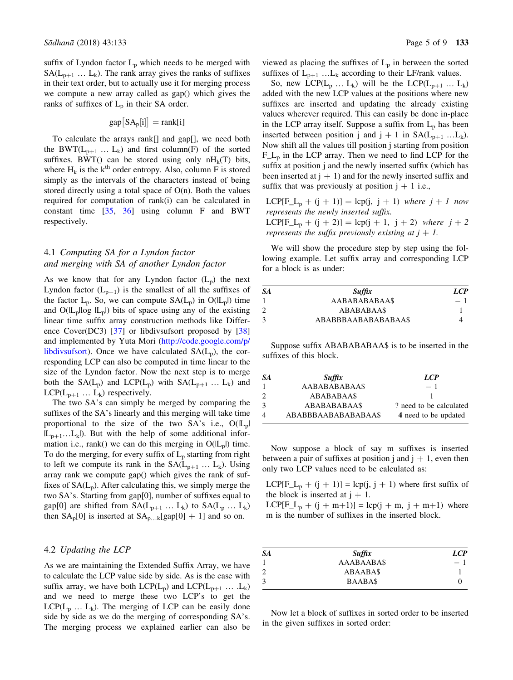suffix of Lyndon factor  $L_p$  which needs to be merged with  $SA(L_{p+1} \ldots L_k)$ . The rank array gives the ranks of suffixes in their text order, but to actually use it for merging process we compute a new array called as gap() which gives the ranks of suffixes of  $L_p$  in their SA order.

$$
gap\big[SA_p[i]\big] = rank[i]
$$

To calculate the arrays rank[] and gap[], we need both the BWT( $L_{p+1}$  ...  $L_k$ ) and first column(F) of the sorted suffixes. BWT() can be stored using only  $nH_k(T)$  bits, where  $H_k$  is the  $k^{th}$  order entropy. Also, column F is stored simply as the intervals of the characters instead of being stored directly using a total space of  $O(n)$ . Both the values required for computation of rank(i) can be calculated in constant time [[35,](#page-8-0) [36\]](#page-8-0) using column F and BWT respectively.

## 4.1 Computing SA for a Lyndon factor and merging with SA of another Lyndon factor

As we know that for any Lyndon factor  $(L_p)$  the next Lyndon factor  $(L_{p+1})$  is the smallest of all the suffixes of the factor  $L_p$ . So, we can compute  $SA(L_p)$  in  $O(L_p)$  time and  $O(L_p \log |L_p|)$  bits of space using any of the existing linear time suffix array construction methods like Difference Cover(DC3) [[37\]](#page-8-0) or libdivsufsort proposed by [\[38](#page-8-0)] and implemented by Yuta Mori [\(http://code.google.com/p/](http://code.google.com/p/libdivsufsort) [libdivsufsort\)](http://code.google.com/p/libdivsufsort). Once we have calculated  $SA(L_p)$ , the corresponding LCP can also be computed in time linear to the size of the Lyndon factor. Now the next step is to merge both the  $SA(L_p)$  and  $LCP(L_p)$  with  $SA(L_{p+1} \dots L_k)$  and LCP( $L_{p+1}$  ...  $L_k$ ) respectively.

The two SA's can simply be merged by comparing the suffixes of the SA's linearly and this merging will take time proportional to the size of the two  $SA's$  i.e.,  $O(|L_p|)$  $|L_{p+1}...L_k|$ . But with the help of some additional information i.e., rank() we can do this merging in  $O(|L_p|)$  time. To do the merging, for every suffix of  $L_p$  starting from right to left we compute its rank in the  $SA(L_{p+1} \dots L_k)$ . Using array rank we compute gap() which gives the rank of suffixes of  $SA(L_p)$ . After calculating this, we simply merge the two SA's. Starting from gap[0], number of suffixes equal to gap[0] are shifted from  $SA(L_{p+1} \dots L_k)$  to  $SA(L_p \dots L_k)$ then  $SA_p[0]$  is inserted at  $SA_{p...k}[gap[0] + 1]$  and so on.

## 4.2 Updating the LCP

As we are maintaining the Extended Suffix Array, we have to calculate the LCP value side by side. As is the case with suffix array, we have both  $LCP(L_p)$  and  $LCP(L_{p+1} \ldots L_k)$ and we need to merge these two LCP's to get the  $LCP(L_p \ldots L_k)$ . The merging of LCP can be easily done side by side as we do the merging of corresponding SA's. The merging process we explained earlier can also be

viewed as placing the suffixes of  $L_p$  in between the sorted suffixes of  $L_{p+1}$  ...  $L_k$  according to their LF/rank values.

So, new  $LCP(L_p ... L_k)$  will be the  $LCP(L_{p+1} ... L_k)$ added with the new LCP values at the positions where new suffixes are inserted and updating the already existing values wherever required. This can easily be done in-place in the LCP array itself. Suppose a suffix from  $L_p$  has been inserted between position j and  $j + 1$  in  $SA(L_{p+1} ... L_k)$ . Now shift all the values till position j starting from position  $F_L$ <sub>n</sub> in the LCP array. Then we need to find LCP for the suffix at position j and the newly inserted suffix (which has been inserted at  $j + 1$ ) and for the newly inserted suffix and suffix that was previously at position  $j + 1$  i.e.,

 $LCP[F_{\perp}t_p + (j + 1)] = \text{lep}(j, j + 1)$  where  $j + 1$  now represents the newly inserted suffix.  $LCP[F_{-}L_{p} + (j + 2)] = \text{lcp}(j + 1, j + 2)$  where  $j + 2$ represents the suffix previously existing at  $j + 1$ .

We will show the procedure step by step using the following example. Let suffix array and corresponding LCP for a block is as under:

| SА | <b>Suffix</b>       | LCP  |
|----|---------------------|------|
|    | AABABABABAA\$       | $-1$ |
|    | <b>ABABABAA\$</b>   |      |
|    | ABABBBAABABABABAA\$ |      |

Suppose suffix ABABABABAA\$ is to be inserted in the suffixes of this block.

| <b>SA</b> | <b>Suffix</b>       | LCP                     |
|-----------|---------------------|-------------------------|
|           | AABABABABAA\$       | $-1$                    |
|           | <b>ABABABAA\$</b>   |                         |
|           | <b>ABABABABAA\$</b> | ? need to be calculated |
|           | ABABBBAABABABAAA\$  | 4 need to be updated    |

Now suppose a block of say m suffixes is inserted between a pair of suffixes at position j and  $j + 1$ , even then only two LCP values need to be calculated as:

 $LCP[F_{\perp}L_p + (j + 1)] = \text{lcp}(j, j + 1)$  where first suffix of the block is inserted at  $j + 1$ .

LCP[F\_L<sub>p</sub> + (j + m+1)] = lcp(j + m, j + m+1) where m is the number of suffixes in the inserted block.

| SA | <b>Suffix</b>    | <b>LCP</b> |
|----|------------------|------------|
|    | <b>AAABAABAS</b> | $-1$       |
| 2  | <b>ABAABAS</b>   |            |
| 3  | <b>BAABAS</b>    |            |

Now let a block of suffixes in sorted order to be inserted in the given suffixes in sorted order: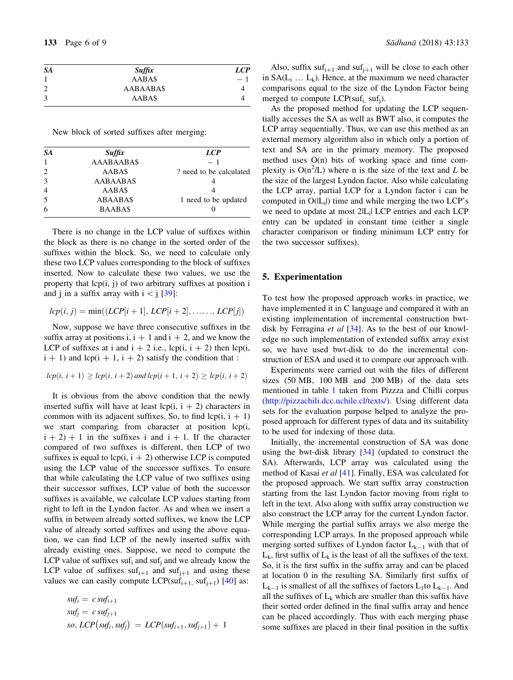<span id="page-5-0"></span>

| <b>SA</b>      | <b>Suffix</b>    | <b>LCP</b> |
|----------------|------------------|------------|
|                | AABA\$           | $-1$       |
| $\overline{2}$ | <b>AABAABA\$</b> |            |
| 3              | AABA\$           |            |

New block of sorted suffixes after merging:

| <b>SA</b>                   |                   | <b>LCP</b>              |
|-----------------------------|-------------------|-------------------------|
|                             | <b>Suffix</b>     |                         |
|                             | <b>AAABAABA\$</b> | $-1$                    |
| $\mathcal{D}_{\mathcal{L}}$ | AABA\$            | ? need to be calculated |
| 3                           | <b>AABAABA\$</b>  |                         |
| $\overline{4}$              | AABA\$            |                         |
| 5                           | <b>ABAABA\$</b>   | 1 need to be updated    |
| 6                           | <b>BAABAS</b>     |                         |

There is no change in the LCP value of suffixes within the block as there is no change in the sorted order of the suffixes within the block. So, we need to calculate only these two LCP values corresponding to the block of suffixes inserted. Now to calculate these two values, we use the property that lcp(i, j) of two arbitrary suffixes at position i and j in a suffix array with  $i < j$  [\[39](#page-8-0)]:

$$
lcp(i, j) = min((LCP[i + 1], LCP[i + 2], \ldots, LCP[j])
$$

Now, suppose we have three consecutive suffixes in the suffix array at positions i,  $i + 1$  and  $i + 2$ , and we know the LCP of suffixes at i and  $i + 2$  i.e., lcp(i,  $i + 2$ ) then lcp(i,  $i + 1$ ) and lcp( $i + 1$ ,  $i + 2$ ) satisfy the condition that :

$$
lcp(i, i + 1) \geq lcp(i, i + 2)
$$
 and  $lcp(i + 1, i + 2) \geq lcp(i, i + 2)$ 

It is obvious from the above condition that the newly inserted suffix will have at least  $lcp(i, i + 2)$  characters in common with its adjacent suffixes. So, to find  $lcp(i, i + 1)$ we start comparing from character at position lcp(i,  $i + 2$ ) + 1 in the suffixes i and  $i + 1$ . If the character compared of two suffixes is different, then LCP of two suffixes is equal to  $lcp(i, i + 2)$  otherwise LCP is computed using the LCP value of the successor suffixes. To ensure that while calculating the LCP value of two suffixes using their successor suffixes, LCP value of both the successor suffixes is available, we calculate LCP values starting from right to left in the Lyndon factor. As and when we insert a suffix in between already sorted suffixes, we know the LCP value of already sorted suffixes and using the above equation, we can find LCP of the newly inserted suffix with already existing ones. Suppose, we need to compute the LCP value of suffixes suf<sub>i</sub> and suf<sub>i</sub> and we already know the LCP value of suffixes  $\text{snf}_{i+1}$  and  $\text{snf}_{i+1}$  and using these values we can easily compute LCP(suf<sub>i+1,</sub> suf<sub>i+1</sub>) [\[40](#page-8-0)] as:

$$
sufi = c sufi+1
$$
  
\n
$$
sufj = c sufj+1
$$
  
\n
$$
so, LCP(sufi, sufj) = LCP(sufi+1, sufj+1) + 1
$$

Also, suffix  $\text{snf}_{i+1}$  and  $\text{snf}_{i+1}$  will be close to each other in  $SA(L_i \ldots L_k)$ . Hence, at the maximum we need character comparisons equal to the size of the Lyndon Factor being merged to compute  $LCP(suf_i, suf_i)$ .

As the proposed method for updating the LCP sequentially accesses the SA as well as BWT also, it computes the LCP array sequentially. Thus, we can use this method as an external memory algorithm also in which only a portion of text and SA are in the primary memory. The proposed method uses  $O(n)$  bits of working space and time complexity is  $O(n^2/L)$  where n is the size of the text and L be the size of the largest Lyndon factor. Also while calculating the LCP array, partial LCP for a Lyndon factor i can be computed in  $O(|L_i|)$  time and while merging the two LCP's we need to update at most 2|L<sub>i</sub>| LCP entries and each LCP entry can be updated in constant time (either a single character comparison or finding minimum LCP entry for the two successor suffixes).

## 5. Experimentation

To test how the proposed approach works in practice, we have implemented it in C language and compared it with an existing implementation of incremental construction bwt-disk by Ferragina et al [\[34](#page-8-0)]. As to the best of our knowledge no such implementation of extended suffix array exist so, we have used bwt-disk to do the incremental construction of ESA and used it to compare our approach with.

Experiments were carried out with the files of different sizes (50 MB, 100 MB and 200 MB) of the data sets mentioned in table [1](#page-6-0) taken from Pizzza and Chilli corpus [\(http://pizzachili.dcc.uchile.cl/texts/\)](http://pizzachili.dcc.uchile.cl/texts/). Using different data sets for the evaluation purpose helped to analyze the proposed approach for different types of data and its suitability to be used for indexing of those data.

Initially, the incremental construction of SA was done using the bwt-disk library  $[34]$  $[34]$  (updated to construct the SA). Afterwards, LCP array was calculated using the method of Kasai et al [[41\]](#page-8-0). Finally, ESA was calculated for the proposed approach. We start suffix array construction starting from the last Lyndon factor moving from right to left in the text. Also along with suffix array construction we also construct the LCP array for the current Lyndon factor. While merging the partial suffix arrays we also merge the corresponding LCP arrays. In the proposed approach while merging sorted suffixes of Lyndon factor  $L_{k-1}$  with that of  $L_k$ , first suffix of  $L_k$  is the least of all the suffixes of the text. So, it is the first suffix in the suffix array and can be placed at location 0 in the resulting SA. Similarly first suffix of  $L_{k-1}$  is smallest of all the suffixes of factors  $L_1$ to  $L_{k-1}$ . And all the suffixes of  $L_k$  which are smaller than this suffix have their sorted order defined in the final suffix array and hence can be placed accordingly. Thus with each merging phase some suffixes are placed in their final position in the suffix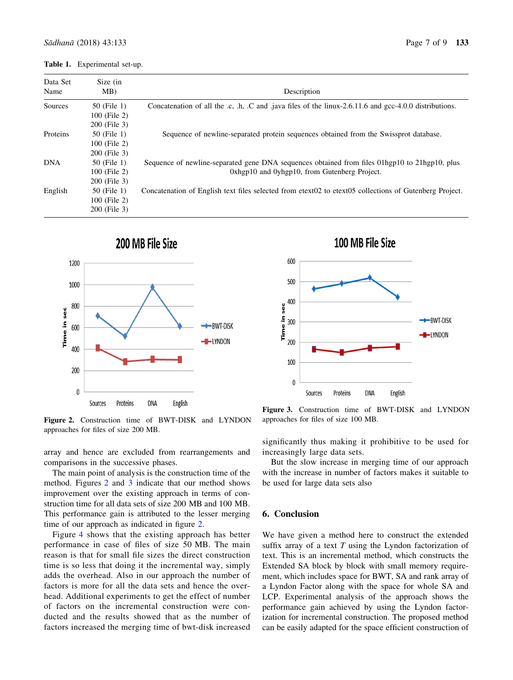#### <span id="page-6-0"></span>Table 1. Experimental set-up.

| Data Set<br>Name | Size (in<br>MB) | Description                                                                                            |
|------------------|-----------------|--------------------------------------------------------------------------------------------------------|
| Sources          | 50 (File 1)     | Concatenation of all the .c, .h, .C and .java files of the linux-2.6.11.6 and gcc-4.0.0 distributions. |
|                  | 100 (File 2)    |                                                                                                        |
|                  | 200 (File 3)    |                                                                                                        |
| Proteins         | 50 (File 1)     | Sequence of newline-separated protein sequences obtained from the Swissprot database.                  |
|                  | 100 (File 2)    |                                                                                                        |
|                  | 200 (File 3)    |                                                                                                        |
| <b>DNA</b>       | 50 (File 1)     | Sequence of newline-separated gene DNA sequences obtained from files 01hgp10 to 21hgp10, plus          |
|                  | 100 (File 2)    | 0xhgp10 and 0yhgp10, from Gutenberg Project.                                                           |
|                  | 200 (File 3)    |                                                                                                        |
| English          | 50 (File 1)     | Concatenation of English text files selected from etext02 to etext05 collections of Gutenberg Project. |
|                  | 100 (File 2)    |                                                                                                        |
|                  | 200 (File 3)    |                                                                                                        |





Figure 2. Construction time of BWT-DISK and LYNDON approaches for files of size 200 MB.

significantly thus making it prohibitive to be used for increasingly large data sets.

approaches for files of size 100 MB.

But the slow increase in merging time of our approach with the increase in number of factors makes it suitable to be used for large data sets also

Figure 3. Construction time of BWT-DISK and LYNDON

#### 6. Conclusion

We have given a method here to construct the extended suffix array of a text  $T$  using the Lyndon factorization of text. This is an incremental method, which constructs the Extended SA block by block with small memory requirement, which includes space for BWT, SA and rank array of a Lyndon Factor along with the space for whole SA and LCP. Experimental analysis of the approach shows the performance gain achieved by using the Lyndon factorization for incremental construction. The proposed method can be easily adapted for the space efficient construction of

array and hence are excluded from rearrangements and comparisons in the successive phases.

The main point of analysis is the construction time of the method. Figures 2 and 3 indicate that our method shows improvement over the existing approach in terms of construction time for all data sets of size 200 MB and 100 MB. This performance gain is attributed to the lesser merging time of our approach as indicated in figure 2.

Figure [4](#page-7-0) shows that the existing approach has better performance in case of files of size 50 MB. The main reason is that for small file sizes the direct construction time is so less that doing it the incremental way, simply adds the overhead. Also in our approach the number of factors is more for all the data sets and hence the overhead. Additional experiments to get the effect of number of factors on the incremental construction were conducted and the results showed that as the number of factors increased the merging time of bwt-disk increased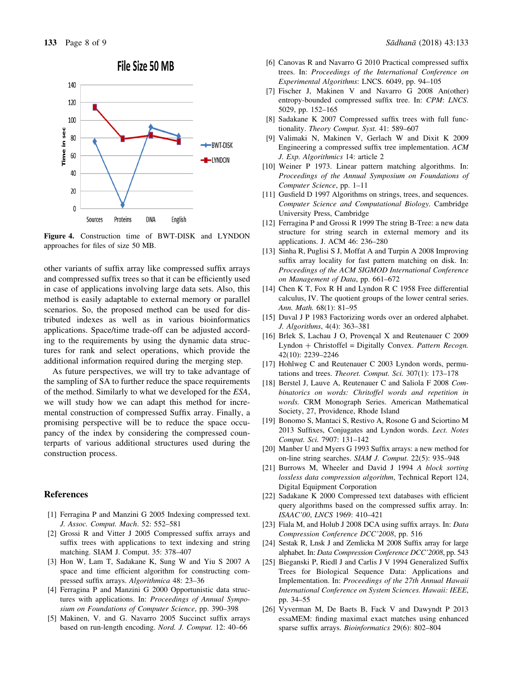## File Size 50 MB

<span id="page-7-0"></span>

Figure 4. Construction time of BWT-DISK and LYNDON approaches for files of size 50 MB.

other variants of suffix array like compressed suffix arrays and compressed suffix trees so that it can be efficiently used in case of applications involving large data sets. Also, this method is easily adaptable to external memory or parallel scenarios. So, the proposed method can be used for distributed indexes as well as in various bioinformatics applications. Space/time trade-off can be adjusted according to the requirements by using the dynamic data structures for rank and select operations, which provide the additional information required during the merging step.

As future perspectives, we will try to take advantage of the sampling of SA to further reduce the space requirements of the method. Similarly to what we developed for the ESA, we will study how we can adapt this method for incremental construction of compressed Suffix array. Finally, a promising perspective will be to reduce the space occupancy of the index by considering the compressed counterparts of various additional structures used during the construction process.

### References

- [1] Ferragina P and Manzini G 2005 Indexing compressed text. J. Assoc. Comput. Mach. 52: 552–581
- [2] Grossi R and Vitter J 2005 Compressed suffix arrays and suffix trees with applications to text indexing and string matching. SIAM J. Comput. 35: 378–407
- [3] Hon W, Lam T, Sadakane K, Sung W and Yiu S 2007 A space and time efficient algorithm for constructing compressed suffix arrays. Algorithmica 48: 23–36
- [4] Ferragina P and Manzini G 2000 Opportunistic data structures with applications. In: Proceedings of Annual Symposium on Foundations of Computer Science, pp. 390–398
- [5] Makinen, V. and G. Navarro 2005 Succinct suffix arrays based on run-length encoding. Nord. J. Comput. 12: 40–66
- [6] Canovas R and Navarro G 2010 Practical compressed suffix trees. In: Proceedings of the International Conference on Experimental Algorithms: LNCS. 6049, pp. 94–105
- [7] Fischer J, Makinen V and Navarro G 2008 An(other) entropy-bounded compressed suffix tree. In: CPM: LNCS. 5029, pp. 152–165
- [8] Sadakane K 2007 Compressed suffix trees with full functionality. Theory Comput. Syst. 41: 589–607
- [9] Valimaki N, Makinen V, Gerlach W and Dixit K 2009 Engineering a compressed suffix tree implementation. ACM J. Exp. Algorithmics 14: article 2
- [10] Weiner P 1973. Linear pattern matching algorithms. In: Proceedings of the Annual Symposium on Foundations of Computer Science, pp. 1–11
- [11] Gusfield D 1997 Algorithms on strings, trees, and sequences. Computer Science and Computational Biology. Cambridge University Press, Cambridge
- [12] Ferragina P and Grossi R 1999 The string B-Tree: a new data structure for string search in external memory and its applications. J. ACM 46: 236–280
- [13] Sinha R, Puglisi S J, Moffat A and Turpin A 2008 Improving suffix array locality for fast pattern matching on disk. In: Proceedings of the ACM SIGMOD International Conference on Management of Data, pp. 661–672
- [14] Chen K T, Fox R H and Lyndon R C 1958 Free differential calculus, IV. The quotient groups of the lower central series. Ann. Math. 68(1): 81–95
- [15] Duval J P 1983 Factorizing words over an ordered alphabet. J. Algorithms, 4(4): 363–381
- [16] Brlek S, Lachau J O, Provencal X and Reutenauer C 2009 Lyndon + Christoffel = Digitally Convex. Pattern Recogn. 42(10): 2239–2246
- [17] Hohlweg C and Reutenauer C 2003 Lyndon words, permutations and trees. Theoret. Comput. Sci. 307(1): 173-178
- [18] Berstel J, Lauve A, Reutenauer C and Saliola F 2008 Combinatorics on words: Chritoffel words and repetition in words. CRM Monograph Series. American Mathematical Society, 27, Providence, Rhode Island
- [19] Bonomo S, Mantaci S, Restivo A, Rosone G and Sciortino M 2013 Suffixes, Conjugates and Lyndon words. Lect. Notes Comput. Sci. 7907: 131–142
- [20] Manber U and Myers G 1993 Suffix arrays: a new method for on-line string searches. SIAM J. Comput. 22(5): 935–948
- [21] Burrows M, Wheeler and David J 1994 A block sorting lossless data compression algorithm, Technical Report 124, Digital Equipment Corporation
- [22] Sadakane K 2000 Compressed text databases with efficient query algorithms based on the compressed suffix array. In: ISAAC'00, LNCS 1969: 410–421
- [23] Fiala M, and Holub J 2008 DCA using suffix arrays. In: Data Compression Conference DCC'2008, pp. 516
- [24] Sestak R, Lnsk J and Zemlicka M 2008 Suffix array for large alphabet. In: Data Compression Conference DCC'2008, pp. 543
- [25] Bieganski P, Riedl J and Carlis J V 1994 Generalized Suffix Trees for Biological Sequence Data: Applications and Implementation. In: Proceedings of the 27th Annual Hawaii International Conference on System Sciences. Hawaii: IEEE, pp. 34–55
- [26] Vyverman M, De Baets B, Fack V and Dawyndt P 2013 essaMEM: finding maximal exact matches using enhanced sparse suffix arrays. Bioinformatics 29(6): 802–804